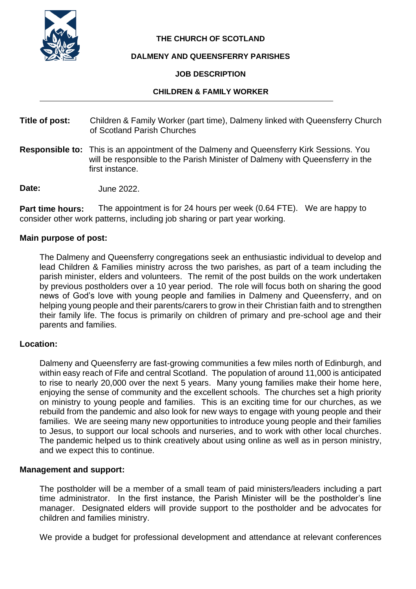

## **THE CHURCH OF SCOTLAND**

#### **DALMENY AND QUEENSFERRY PARISHES**

#### **JOB DESCRIPTION**

#### **CHILDREN & FAMILY WORKER**

- **Title of post:** Children & Family Worker (part time), Dalmeny linked with Queensferry Church of Scotland Parish Churches
- **Responsible to:** This is an appointment of the Dalmeny and Queensferry Kirk Sessions. You will be responsible to the Parish Minister of Dalmeny with Queensferry in the first instance.

**Date:** June 2022.

**Part time hours:** The appointment is for 24 hours per week (0.64 FTE). We are happy to consider other work patterns, including job sharing or part year working.

#### **Main purpose of post:**

The Dalmeny and Queensferry congregations seek an enthusiastic individual to develop and lead Children & Families ministry across the two parishes, as part of a team including the parish minister, elders and volunteers. The remit of the post builds on the work undertaken by previous postholders over a 10 year period. The role will focus both on sharing the good news of God's love with young people and families in Dalmeny and Queensferry, and on helping young people and their parents/carers to grow in their Christian faith and to strengthen their family life. The focus is primarily on children of primary and pre-school age and their parents and families.

#### **Location:**

Dalmeny and Queensferry are fast-growing communities a few miles north of Edinburgh, and within easy reach of Fife and central Scotland. The population of around 11,000 is anticipated to rise to nearly 20,000 over the next 5 years. Many young families make their home here, enjoying the sense of community and the excellent schools. The churches set a high priority on ministry to young people and families. This is an exciting time for our churches, as we rebuild from the pandemic and also look for new ways to engage with young people and their families. We are seeing many new opportunities to introduce young people and their families to Jesus, to support our local schools and nurseries, and to work with other local churches. The pandemic helped us to think creatively about using online as well as in person ministry, and we expect this to continue.

#### **Management and support:**

The postholder will be a member of a small team of paid ministers/leaders including a part time administrator. In the first instance, the Parish Minister will be the postholder's line manager. Designated elders will provide support to the postholder and be advocates for children and families ministry.

We provide a budget for professional development and attendance at relevant conferences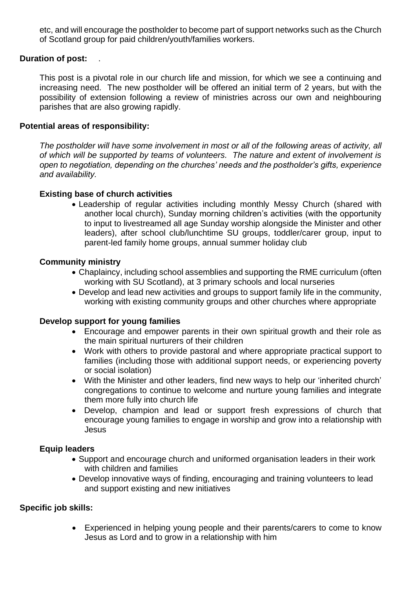etc, and will encourage the postholder to become part of support networks such as the Church of Scotland group for paid children/youth/families workers.

## **Duration of post:** .

This post is a pivotal role in our church life and mission, for which we see a continuing and increasing need. The new postholder will be offered an initial term of 2 years, but with the possibility of extension following a review of ministries across our own and neighbouring parishes that are also growing rapidly.

#### **Potential areas of responsibility:**

*The postholder will have some involvement in most or all of the following areas of activity, all of which will be supported by teams of volunteers. The nature and extent of involvement is open to negotiation, depending on the churches' needs and the postholder's gifts, experience and availability.*

## **Existing base of church activities**

• Leadership of regular activities including monthly Messy Church (shared with another local church), Sunday morning children's activities (with the opportunity to input to livestreamed all age Sunday worship alongside the Minister and other leaders), after school club/lunchtime SU groups, toddler/carer group, input to parent-led family home groups, annual summer holiday club

## **Community ministry**

- Chaplaincy, including school assemblies and supporting the RME curriculum (often working with SU Scotland), at 3 primary schools and local nurseries
- Develop and lead new activities and groups to support family life in the community, working with existing community groups and other churches where appropriate

## **Develop support for young families**

- Encourage and empower parents in their own spiritual growth and their role as the main spiritual nurturers of their children
- Work with others to provide pastoral and where appropriate practical support to families (including those with additional support needs, or experiencing poverty or social isolation)
- With the Minister and other leaders, find new ways to help our 'inherited church' congregations to continue to welcome and nurture young families and integrate them more fully into church life
- Develop, champion and lead or support fresh expressions of church that encourage young families to engage in worship and grow into a relationship with Jesus

## **Equip leaders**

- Support and encourage church and uniformed organisation leaders in their work with children and families
- Develop innovative ways of finding, encouraging and training volunteers to lead and support existing and new initiatives

## **Specific job skills:**

• Experienced in helping young people and their parents/carers to come to know Jesus as Lord and to grow in a relationship with him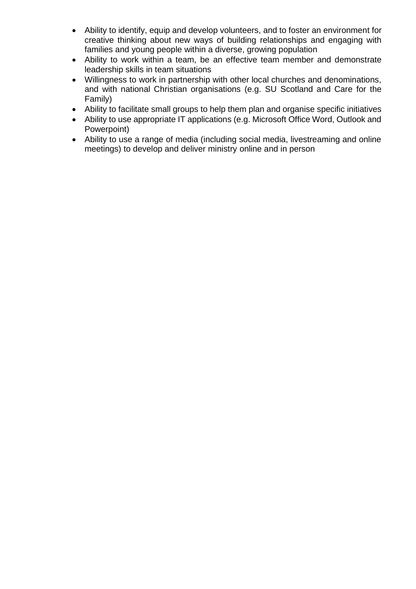- Ability to identify, equip and develop volunteers, and to foster an environment for creative thinking about new ways of building relationships and engaging with families and young people within a diverse, growing population
- Ability to work within a team, be an effective team member and demonstrate leadership skills in team situations
- Willingness to work in partnership with other local churches and denominations, and with national Christian organisations (e.g. SU Scotland and Care for the Family)
- Ability to facilitate small groups to help them plan and organise specific initiatives
- Ability to use appropriate IT applications (e.g. Microsoft Office Word, Outlook and Powerpoint)
- Ability to use a range of media (including social media, livestreaming and online meetings) to develop and deliver ministry online and in person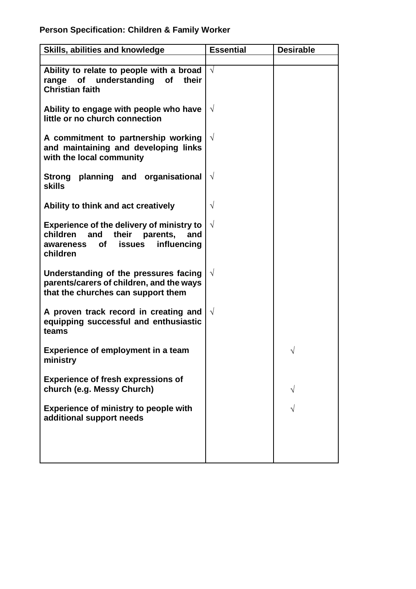| Skills, abilities and knowledge                                                                                                                                | <b>Essential</b> | <b>Desirable</b> |
|----------------------------------------------------------------------------------------------------------------------------------------------------------------|------------------|------------------|
|                                                                                                                                                                |                  |                  |
| Ability to relate to people with a broad<br>understanding<br>range<br><b>of</b><br><b>of</b><br>their<br><b>Christian faith</b>                                | $\sqrt{}$        |                  |
| Ability to engage with people who have<br>little or no church connection                                                                                       | $\sqrt{}$        |                  |
| A commitment to partnership working<br>and maintaining and developing links<br>with the local community                                                        | $\sqrt{ }$       |                  |
| planning and organisational<br>Strong<br>skills                                                                                                                | $\sqrt{}$        |                  |
| Ability to think and act creatively                                                                                                                            | $\sqrt{}$        |                  |
| <b>Experience of the delivery of ministry to</b><br>children<br>parents,<br>their<br>and<br>and<br>influencing<br><b>of</b><br>issues<br>awareness<br>children | $\sqrt{}$        |                  |
| Understanding of the pressures facing<br>parents/carers of children, and the ways<br>that the churches can support them                                        | $\sqrt{ }$       |                  |
| A proven track record in creating and<br>equipping successful and enthusiastic<br>teams                                                                        | $\sqrt{ }$       |                  |
| Experience of employment in a team<br>ministry                                                                                                                 |                  |                  |
| <b>Experience of fresh expressions of</b><br>church (e.g. Messy Church)                                                                                        |                  |                  |
| <b>Experience of ministry to people with</b><br>additional support needs                                                                                       |                  |                  |
|                                                                                                                                                                |                  |                  |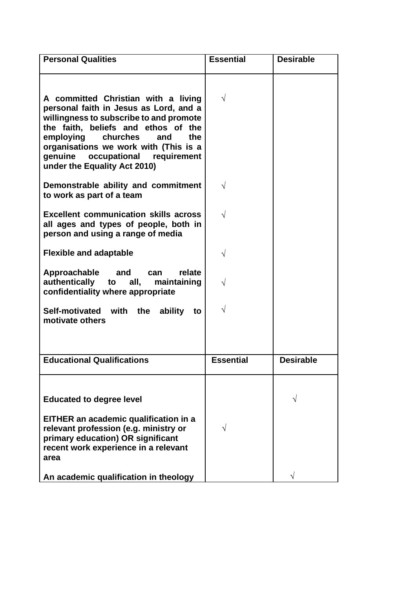| <b>Personal Qualities</b>                                                                                                                                                                                                                                                                                           | <b>Essential</b> | <b>Desirable</b> |
|---------------------------------------------------------------------------------------------------------------------------------------------------------------------------------------------------------------------------------------------------------------------------------------------------------------------|------------------|------------------|
| A committed Christian with a living<br>personal faith in Jesus as Lord, and a<br>willingness to subscribe to and promote<br>the faith, beliefs and ethos of the<br>employing<br>churches<br>the<br>and<br>organisations we work with (This is a<br>genuine occupational requirement<br>under the Equality Act 2010) | $\sqrt{ }$       |                  |
| Demonstrable ability and commitment<br>to work as part of a team                                                                                                                                                                                                                                                    | V                |                  |
| <b>Excellent communication skills across</b><br>all ages and types of people, both in<br>person and using a range of media                                                                                                                                                                                          | V                |                  |
| <b>Flexible and adaptable</b>                                                                                                                                                                                                                                                                                       |                  |                  |
| Approachable<br>relate<br>and<br>can<br>authentically to all,<br>maintaining<br>confidentiality where appropriate                                                                                                                                                                                                   |                  |                  |
| Self-motivated with the<br>ability<br>to<br>motivate others                                                                                                                                                                                                                                                         | $\sqrt{}$        |                  |
| <b>Educational Qualifications</b>                                                                                                                                                                                                                                                                                   | <b>Essential</b> | <b>Desirable</b> |
| <b>Educated to degree level</b><br>EITHER an academic qualification in a<br>relevant profession (e.g. ministry or<br>primary education) OR significant<br>recent work experience in a relevant<br>area                                                                                                              |                  |                  |
| An academic qualification in theology                                                                                                                                                                                                                                                                               |                  |                  |